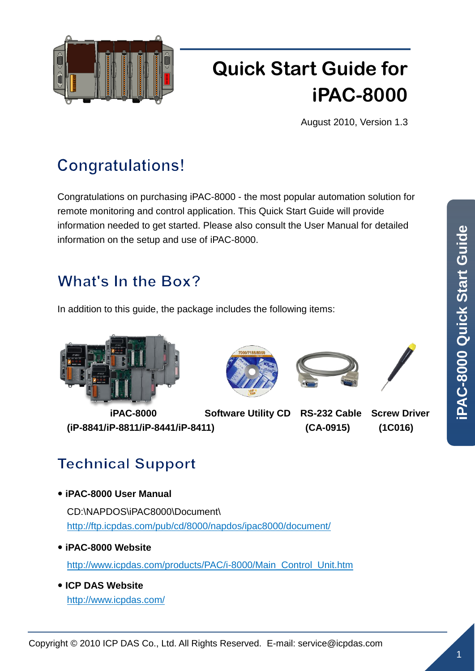

# **Quick Start Guide for iPAC-8000**

August 2010, Version 1.3

## **Congratulations!**

Congratulations on purchasing iPAC-8000 - the most popular automation solution for remote monitoring and control application. This Quick Start Guide will provide information needed to get started. Please also consult the User Manual for detailed information on the setup and use of iPAC-8000.

### What's In the Box?

In addition to this guide, the package includes the following items:



 **iPAC-8000 Software Utility CD RS-232 Cable Screw Driver (iP-8841/iP-8811/iP-8441/iP-8411) (CA-0915) (1C016)**







### **Technical Support**

**iPAC-8000 User Manual**

CD:\NAPDOS\iPAC8000\Document\ <http://ftp.icpdas.com/pub/cd/8000/napdos/ipac8000/document/>

- **iPAC-8000 Website** [http://www.icpdas.com/products/PAC/i-8000/Main\\_Control\\_Unit.htm](http://www.icpdas.com/products/PAC/i-8000/Main_Control_Unit.htm)
- **ICP DAS Website** <http://www.icpdas.com/>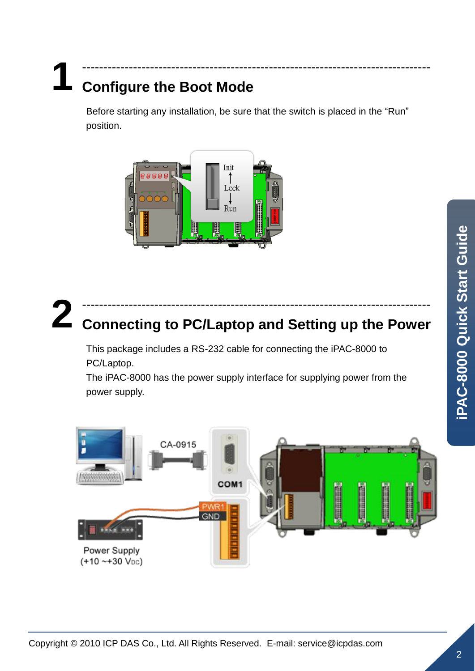### **1** ----------------------------------------------------------------------------------

# **Configure the Boot Mode**

Before starting any installation, be sure that the switch is placed in the "Run" position.



### **2** ---------------------------------------------------------------------------------- **Connecting to PC/Laptop and Setting up the Power**

This package includes a RS-232 cable for connecting the iPAC-8000 to PC/Laptop.

The iPAC-8000 has the power supply interface for supplying power from the power supply.

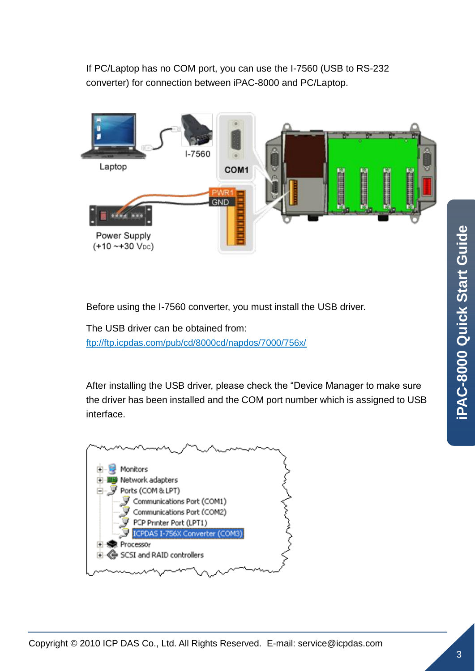If PC/Laptop has no COM port, you can use the I-7560 (USB to RS-232 converter) for connection between iPAC-8000 and PC/Laptop.



Before using the I-7560 converter, you must install the USB driver.

The USB driver can be obtained from: <ftp://ftp.icpdas.com/pub/cd/8000cd/napdos/7000/756x/>

After installing the USB driver, please check the "Device Manager to make sure the driver has been installed and the COM port number which is assigned to USB interface.

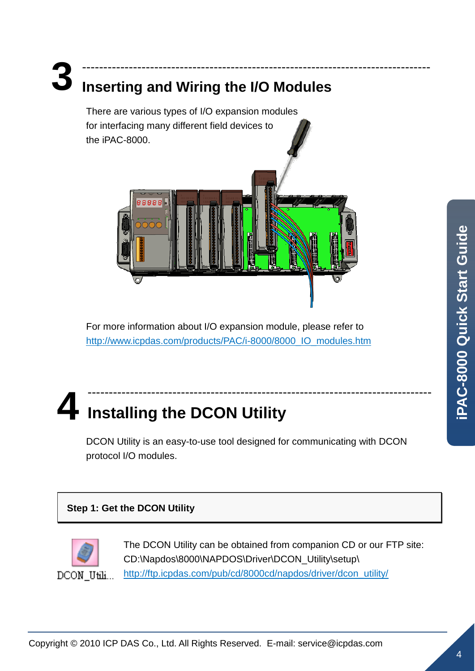# **3**

# **Inserting and Wiring the I/O Modules**

There are various types of I/O expansion modules for interfacing many different field devices to the iPAC-8000.



----------------------------------------------------------------------------------

For more information about I/O expansion module, please refer to [http://www.icpdas.com/products/PAC/i-8000/8000\\_IO\\_modules.htm](http://www.icpdas.com/products/PAC/i-8000/8000_IO_modules.htm)

### **4** --------------------------------------------------------------------------------- **Installing the DCON Utility**

DCON Utility is an easy-to-use tool designed for communicating with DCON protocol I/O modules.

### **Step 1: Get the DCON Utility**



The DCON Utility can be obtained from companion CD or our FTP site: CD:\Napdos\8000\NAPDOS\Driver\DCON\_Utility\setup\ [http://ftp.icpdas.com/pub/cd/8000cd/napdos/driver/dcon\\_utility/](http://ftp.icpdas.com/pub/cd/8000cd/napdos/driver/dcon_utility/)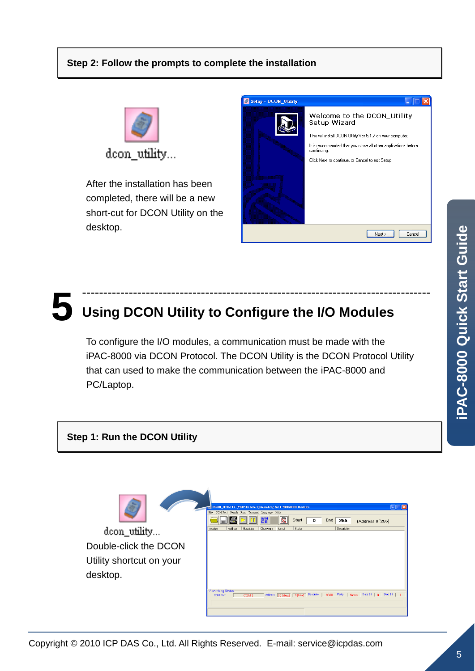

After the installation has been completed, there will be a new short-cut for DCON Utility on the desktop.

| <b>Setup - DCON_Utility</b> |                                                                                                                                                                                                                                                |
|-----------------------------|------------------------------------------------------------------------------------------------------------------------------------------------------------------------------------------------------------------------------------------------|
|                             | Welcome to the DCON_Utility<br>Setup Wizard<br>This will install DCON Utility Ver 5.1.7 on your computer.<br>It is recommended that you close all other applications before<br>continuing.<br>Click Next to continue, or Cancel to exit Setup. |
|                             | Cancel<br>Next:                                                                                                                                                                                                                                |

### **5** ---------------------------------------------------------------------------------- **Using DCON Utility to Configure the I/O Modules**

To configure the I/O modules, a communication must be made with the iPAC-8000 via DCON Protocol. The DCON Utility is the DCON Protocol Utility that can used to make the communication between the iPAC-8000 and PC/Laptop.



doon utility... Double-click the DCON Utility shortcut on your desktop.

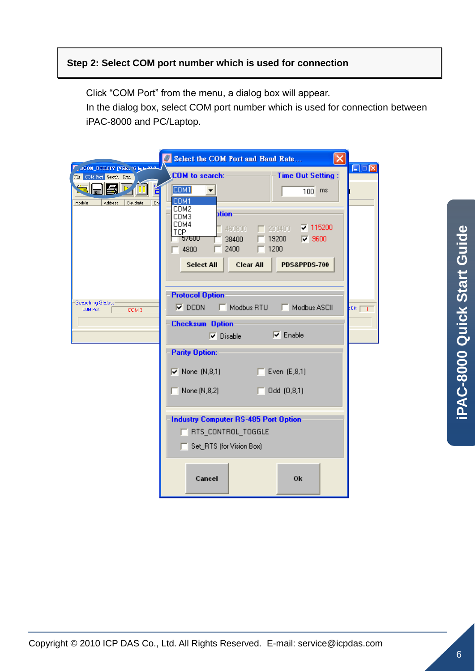#### **Step 2: Select COM port number which is used for connection**

Click "COM Port" from the menu, a dialog box will appear.

In the dialog box, select COM port number which is used for connection between iPAC-8000 and PC/Laptop.

|                                                                  | Select the COM Port and Baud Rate                                                                                                                                                                                                     |                  |
|------------------------------------------------------------------|---------------------------------------------------------------------------------------------------------------------------------------------------------------------------------------------------------------------------------------|------------------|
| DCON_UTILITY [VER. '6 beta 21.4.<br>File COM Port Search Run     | <b>COM</b> to search:<br><b>Time Out Setting:</b>                                                                                                                                                                                     | $\square\square$ |
| 国心<br>IT<br>H<br>Baudrate:<br><b>Address</b><br>Che<br>module    | COM1<br>100<br>ms<br>COM1<br>COM2<br><b>btion</b><br>СОМЗ<br>COM4<br>$\nabla$ 115200<br>230400<br>460800<br>TCP<br>19200<br>$\nabla$ 9600<br>57600<br>38400<br>1200<br>2400<br>4800<br>Select All<br><b>Clear All</b><br>PDS&PPDS-700 |                  |
| <b>Searching Status:</b><br><b>COM Port:</b><br>COM <sub>3</sub> | <b>Protocol Option</b><br>$\nabla$ DCON<br>Modbus RTU<br>Modbus ASCII<br>г<br>г<br>Bit: $\boxed{1}$                                                                                                                                   |                  |
|                                                                  | <b>Checksum Option</b><br>$\nabla$ Enable<br>$\nabla$ Disable                                                                                                                                                                         |                  |
|                                                                  | <b>Parity Option:</b><br>$\nabla$ None (N,8,1)<br>$\sqrt{2}$ Even (E,8,1)<br>HГ<br>None (N,8,2)<br>Odd (0,8,1)<br>г                                                                                                                   |                  |
|                                                                  | <b>Industry Computer RS-485 Port Option</b><br>RTS_CONTROL_TOGGLE<br>Set_RTS (for Vision Box)                                                                                                                                         |                  |
|                                                                  | Cancel<br>Ok                                                                                                                                                                                                                          |                  |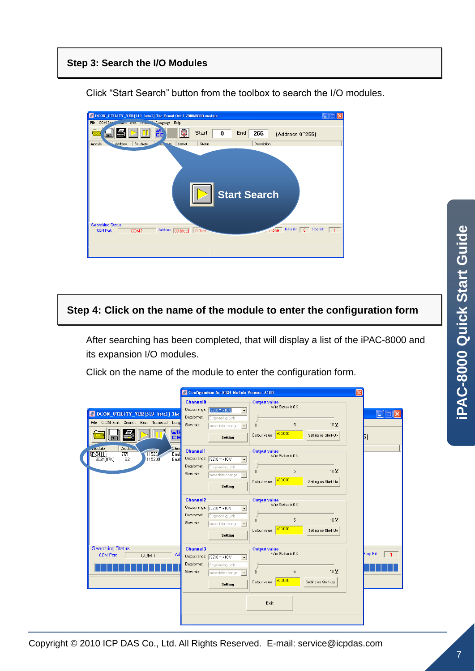#### **Step 3: Search the I/O Modules**

| O DCON_UTILITY_VER[519 betal] The Found Out I-7000/8000 module                 | m.                                                         |
|--------------------------------------------------------------------------------|------------------------------------------------------------|
| File COM Port<br>Kun remm. Language Help                                       |                                                            |
| wh<br>Start<br>cе                                                              | End<br>255<br>0<br>(Address 0"255)                         |
| Address<br>module<br>Status<br>Baudrate:<br>format<br><b>Sette</b><br>um.      | Description                                                |
| Searching Status:<br>Address 00 [dec] 0 [hex]<br>COM Port:<br>COM <sub>1</sub> | <b>Start Search</b><br>Data Bit:<br>Stop Bit:<br>8<br>None |

Click "Start Search" button from the toolbox to search the I/O modules.

#### **Step 4: Click on the name of the module to enter the configuration form**

After searching has been completed, that will display a list of the iPAC-8000 and its expansion I/O modules.

Click on the name of the module to enter the configuration form.

|                                                                                                                                               | ΙxΙ<br>Configuration for 8024 Module Version: A100                                                                                                                                                                                                                                                       |                                             |
|-----------------------------------------------------------------------------------------------------------------------------------------------|----------------------------------------------------------------------------------------------------------------------------------------------------------------------------------------------------------------------------------------------------------------------------------------------------------|---------------------------------------------|
| DCON_UTILITY_VER[519 betal] The<br>File COM Port Search Run Terminal Lang<br>쨆                                                                | <b>Channel0</b><br>Output value<br>Wire Status is OK<br>Output range:<br>[32] 0 ~ +10 V<br>$\overline{\phantom{a}}$<br>Dataformat:<br>Engineering Unit<br>5<br>10 <sup>2</sup><br>Slew rate:<br>$\overline{0}$<br>immediate change<br>$+00.000$<br>Setting as Start-Up<br>Output value<br>Setting        | $\blacksquare$ $\blacksquare$ $\times$<br>ы |
| Addres <sub>v</sub><br><b>Ched</b><br>module<br>$\widehat{11520}$<br>iP-8411<br>Enat<br>7[7]<br>8024(87K)<br>S <sub>2</sub><br>115200<br>Enat | <b>Channel1</b><br><b>Output value</b><br>Wire Status is OK<br>Output range:<br>[32] 0 ~ +10 V<br>$\blacktriangledown$<br>Dataformat:<br>Engineering Unit<br>10 <sup>2</sup><br>5<br>$\overline{0}$<br>Slew rate:<br>immediate change<br>$+00.000$<br>Output value<br>Setting as Start-Up<br>Setting     |                                             |
|                                                                                                                                               | <b>Channel2</b><br>Output value<br>Wire Status is DK<br>Output range:<br>[32] 0 ~ +10 V<br>$\overline{\phantom{a}}$<br>Dataformat:<br>Engineering Unit<br>$10 \underline{V}$<br>5<br>$\Omega$<br>Slew rate:<br>immediate change<br>$+00.000$<br>Output value<br>Setting as Start-Up<br>Setting           |                                             |
| Searching Status:<br><b>COM Port:</b><br>COM <sub>1</sub><br>Ad                                                                               | <b>Channel3</b><br><b>Output value</b><br>Wire Status is OK<br>Output range:<br>[32] 0 ~ +10 V<br>$\overline{\phantom{a}}$<br>Dataformat:<br>Engineering Unit<br>10 <sup>2</sup><br>5<br>Slew rate:<br>$\overline{0}$<br>immediate change<br>$+00.000$<br>Setting as Start-Up<br>Output value<br>Setting | <b>Stop Bit:</b>                            |
|                                                                                                                                               | Exit                                                                                                                                                                                                                                                                                                     |                                             |